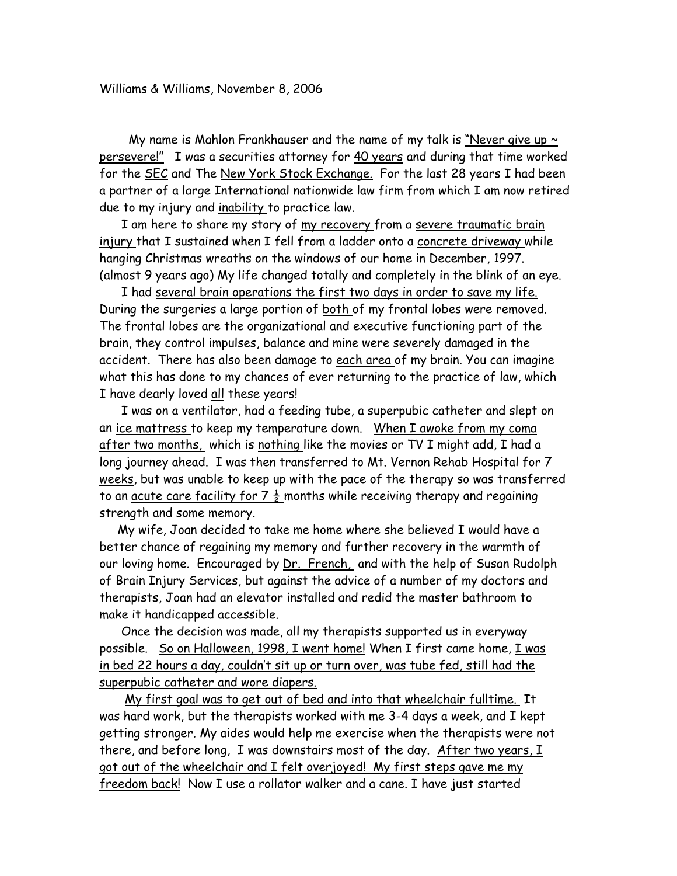My name is Mahlon Frankhauser and the name of my talk is "Never give up  $\sim$ persevere!" I was a securities attorney for 40 years and during that time worked for the SEC and The New York Stock Exchange. For the last 28 years I had been a partner of a large International nationwide law firm from which I am now retired due to my injury and inability to practice law.

I am here to share my story of <u>my recovery f</u>rom a <u>severe traumatic brain</u> injury that I sustained when I fell from a ladder onto a concrete driveway while hanging Christmas wreaths on the windows of our home in December, 1997. (almost 9 years ago) My life changed totally and completely in the blink of an eye.

 I had several brain operations the first two days in order to save my life. During the surgeries a large portion of both of my frontal lobes were removed. The frontal lobes are the organizational and executive functioning part of the brain, they control impulses, balance and mine were severely damaged in the accident. There has also been damage to each area of my brain. You can imagine what this has done to my chances of ever returning to the practice of law, which I have dearly loved all these years!

 I was on a ventilator, had a feeding tube, a superpubic catheter and slept on an ice mattress to keep my temperature down. When I awoke from my coma after two months, which is nothing like the movies or TV I might add, I had a long journey ahead. I was then transferred to Mt. Vernon Rehab Hospital for 7 weeks, but was unable to keep up with the pace of the therapy so was transferred to an <u>acute care facility for 7  $\frac{1}{2}$ </u> months while receiving therapy and regaining strength and some memory.

 My wife, Joan decided to take me home where she believed I would have a better chance of regaining my memory and further recovery in the warmth of our loving home. Encouraged by Dr. French, and with the help of Susan Rudolph of Brain Injury Services, but against the advice of a number of my doctors and therapists, Joan had an elevator installed and redid the master bathroom to make it handicapped accessible.

 Once the decision was made, all my therapists supported us in everyway possible. So on Halloween, 1998, I went home! When I first came home, I was in bed 22 hours a day, couldn't sit up or turn over, was tube fed, still had the superpubic catheter and wore diapers.

 My first goal was to get out of bed and into that wheelchair fulltime. It was hard work, but the therapists worked with me 3-4 days a week, and I kept getting stronger. My aides would help me exercise when the therapists were not there, and before long, I was downstairs most of the day. After two years, I got out of the wheelchair and I felt overjoyed! My first steps gave me my freedom back! Now I use a rollator walker and a cane. I have just started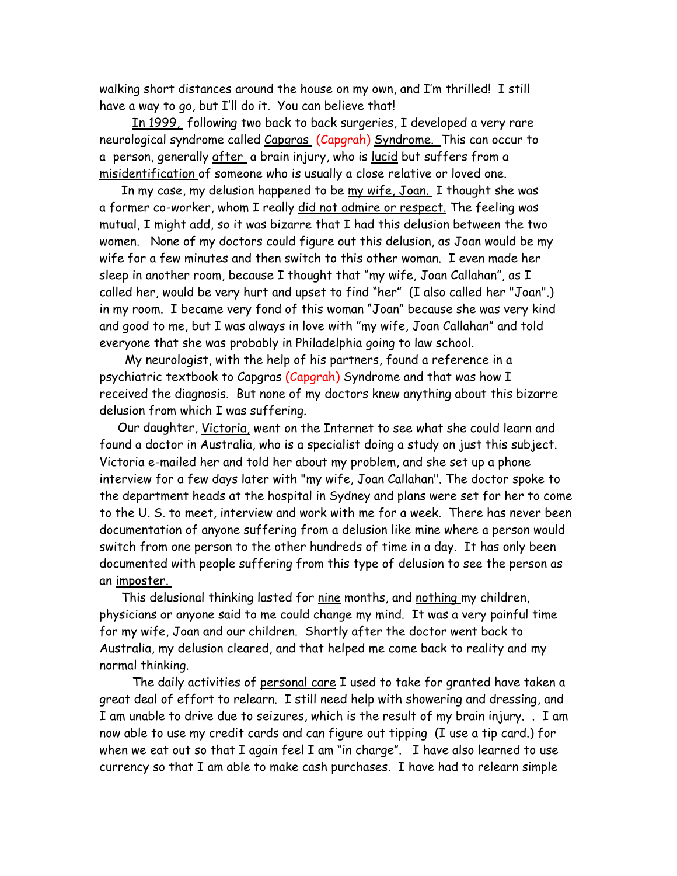walking short distances around the house on my own, and I'm thrilled! I still have a way to go, but I'll do it. You can believe that!

 In 1999, following two back to back surgeries, I developed a very rare neurological syndrome called Capgras (Capgrah) Syndrome. This can occur to a person, generally after a brain injury, who is lucid but suffers from a misidentification of someone who is usually a close relative or loved one.

 In my case, my delusion happened to be my wife, Joan. I thought she was a former co-worker, whom I really did not admire or respect. The feeling was mutual, I might add, so it was bizarre that I had this delusion between the two women. None of my doctors could figure out this delusion, as Joan would be my wife for a few minutes and then switch to this other woman. I even made her sleep in another room, because I thought that "my wife, Joan Callahan", as I called her, would be very hurt and upset to find "her" (I also called her "Joan".) in my room. I became very fond of this woman "Joan" because she was very kind and good to me, but I was always in love with "my wife, Joan Callahan" and told everyone that she was probably in Philadelphia going to law school.

 My neurologist, with the help of his partners, found a reference in a psychiatric textbook to Capgras (Capgrah) Syndrome and that was how I received the diagnosis. But none of my doctors knew anything about this bizarre delusion from which I was suffering.

 Our daughter, Victoria, went on the Internet to see what she could learn and found a doctor in Australia, who is a specialist doing a study on just this subject. Victoria e-mailed her and told her about my problem, and she set up a phone interview for a few days later with "my wife, Joan Callahan". The doctor spoke to the department heads at the hospital in Sydney and plans were set for her to come to the U. S. to meet, interview and work with me for a week. There has never been documentation of anyone suffering from a delusion like mine where a person would switch from one person to the other hundreds of time in a day. It has only been documented with people suffering from this type of delusion to see the person as an imposter.

 This delusional thinking lasted for nine months, and nothing my children, physicians or anyone said to me could change my mind. It was a very painful time for my wife, Joan and our children. Shortly after the doctor went back to Australia, my delusion cleared, and that helped me come back to reality and my normal thinking.

 The daily activities of personal care I used to take for granted have taken a great deal of effort to relearn. I still need help with showering and dressing, and I am unable to drive due to seizures, which is the result of my brain injury. . I am now able to use my credit cards and can figure out tipping (I use a tip card.) for when we eat out so that I again feel I am "in charge". I have also learned to use currency so that I am able to make cash purchases. I have had to relearn simple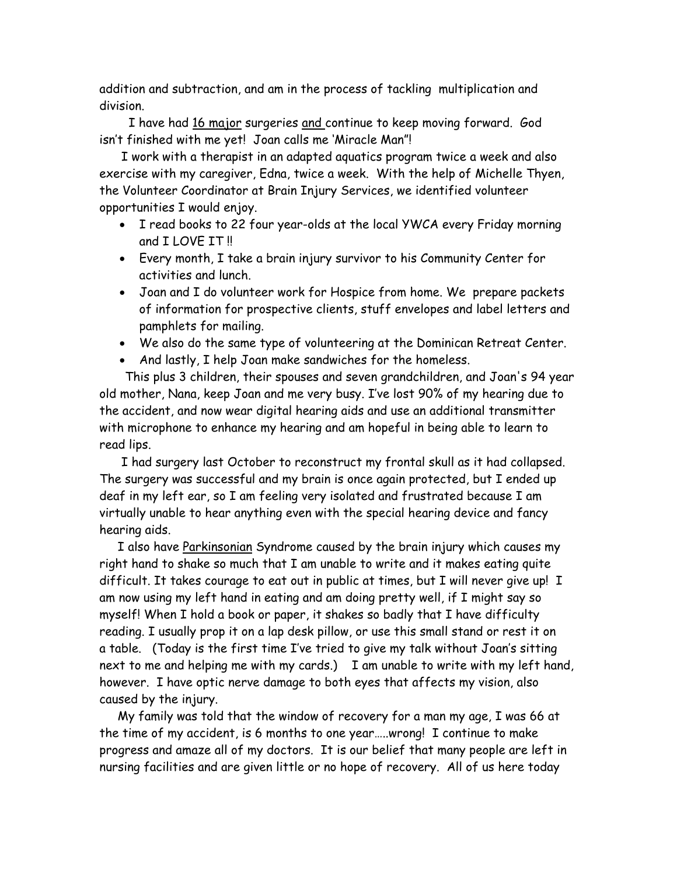addition and subtraction, and am in the process of tackling multiplication and division.

 I have had 16 major surgeries and continue to keep moving forward. God isn't finished with me yet! Joan calls me 'Miracle Man"!

 I work with a therapist in an adapted aquatics program twice a week and also exercise with my caregiver, Edna, twice a week. With the help of Michelle Thyen, the Volunteer Coordinator at Brain Injury Services, we identified volunteer opportunities I would enjoy.

- I read books to 22 four year-olds at the local YWCA every Friday morning and I LOVE IT !!
- Every month, I take a brain injury survivor to his Community Center for activities and lunch.
- Joan and I do volunteer work for Hospice from home. We prepare packets of information for prospective clients, stuff envelopes and label letters and pamphlets for mailing.
- We also do the same type of volunteering at the Dominican Retreat Center.
- And lastly, I help Joan make sandwiches for the homeless.

 This plus 3 children, their spouses and seven grandchildren, and Joan's 94 year old mother, Nana, keep Joan and me very busy. I've lost 90% of my hearing due to the accident, and now wear digital hearing aids and use an additional transmitter with microphone to enhance my hearing and am hopeful in being able to learn to read lips.

 I had surgery last October to reconstruct my frontal skull as it had collapsed. The surgery was successful and my brain is once again protected, but I ended up deaf in my left ear, so I am feeling very isolated and frustrated because I am virtually unable to hear anything even with the special hearing device and fancy hearing aids.

 I also have Parkinsonian Syndrome caused by the brain injury which causes my right hand to shake so much that I am unable to write and it makes eating quite difficult. It takes courage to eat out in public at times, but I will never give up! I am now using my left hand in eating and am doing pretty well, if I might say so myself! When I hold a book or paper, it shakes so badly that I have difficulty reading. I usually prop it on a lap desk pillow, or use this small stand or rest it on a table. (Today is the first time I've tried to give my talk without Joan's sitting next to me and helping me with my cards.) I am unable to write with my left hand, however. I have optic nerve damage to both eyes that affects my vision, also caused by the injury.

 My family was told that the window of recovery for a man my age, I was 66 at the time of my accident, is 6 months to one year…..wrong! I continue to make progress and amaze all of my doctors. It is our belief that many people are left in nursing facilities and are given little or no hope of recovery. All of us here today